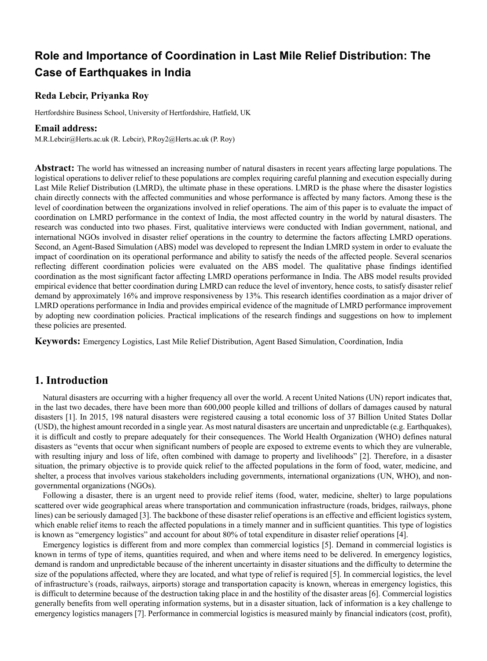# **Role and Importance of Coordination in Last Mile Relief Distribution: The Case of Earthquakes in India**

### **Reda Lebcir, Priyanka Roy**

Hertfordshire Business School, University of Hertfordshire, Hatfield, UK

### **Email address:**

M.R.Lebcir@Herts.ac.uk (R. Lebcir), P.Roy2@Herts.ac.uk (P. Roy)

**Abstract:** The world has witnessed an increasing number of natural disasters in recent years affecting large populations. The logistical operations to deliver relief to these populations are complex requiring careful planning and execution especially during Last Mile Relief Distribution (LMRD), the ultimate phase in these operations. LMRD is the phase where the disaster logistics chain directly connects with the affected communities and whose performance is affected by many factors. Among these is the level of coordination between the organizations involved in relief operations. The aim of this paper is to evaluate the impact of coordination on LMRD performance in the context of India, the most affected country in the world by natural disasters. The research was conducted into two phases. First, qualitative interviews were conducted with Indian government, national, and international NGOs involved in disaster relief operations in the country to determine the factors affecting LMRD operations. Second, an Agent-Based Simulation (ABS) model was developed to represent the Indian LMRD system in order to evaluate the impact of coordination on its operational performance and ability to satisfy the needs of the affected people. Several scenarios reflecting different coordination policies were evaluated on the ABS model. The qualitative phase findings identified coordination as the most significant factor affecting LMRD operations performance in India. The ABS model results provided empirical evidence that better coordination during LMRD can reduce the level of inventory, hence costs, to satisfy disaster relief demand by approximately 16% and improve responsiveness by 13%. This research identifies coordination as a major driver of LMRD operations performance in India and provides empirical evidence of the magnitude of LMRD performance improvement by adopting new coordination policies. Practical implications of the research findings and suggestions on how to implement these policies are presented.

**Keywords:** Emergency Logistics, Last Mile Relief Distribution, Agent Based Simulation, Coordination, India

# **1. Introduction**

Natural disasters are occurring with a higher frequency all over the world. A recent United Nations (UN) report indicates that, in the last two decades, there have been more than 600,000 people killed and trillions of dollars of damages caused by natural disasters [1]. In 2015, 198 natural disasters were registered causing a total economic loss of 37 Billion United States Dollar (USD), the highest amount recorded in a single year. As most natural disasters are uncertain and unpredictable (e.g. Earthquakes), it is difficult and costly to prepare adequately for their consequences. The World Health Organization (WHO) defines natural disasters as "events that occur when significant numbers of people are exposed to extreme events to which they are vulnerable, with resulting injury and loss of life, often combined with damage to property and livelihoods" [2]. Therefore, in a disaster situation, the primary objective is to provide quick relief to the affected populations in the form of food, water, medicine, and shelter, a process that involves various stakeholders including governments, international organizations (UN, WHO), and nongovernmental organizations (NGOs).

Following a disaster, there is an urgent need to provide relief items (food, water, medicine, shelter) to large populations scattered over wide geographical areas where transportation and communication infrastructure (roads, bridges, railways, phone lines) can be seriously damaged [3]. The backbone of these disaster relief operations is an effective and efficient logistics system, which enable relief items to reach the affected populations in a timely manner and in sufficient quantities. This type of logistics is known as "emergency logistics" and account for about 80% of total expenditure in disaster relief operations [4].

Emergency logistics is different from and more complex than commercial logistics [5]. Demand in commercial logistics is known in terms of type of items, quantities required, and when and where items need to be delivered. In emergency logistics, demand is random and unpredictable because of the inherent uncertainty in disaster situations and the difficulty to determine the size of the populations affected, where they are located, and what type of relief is required [5]. In commercial logistics, the level of infrastructure's (roads, railways, airports) storage and transportation capacity is known, whereas in emergency logistics, this is difficult to determine because of the destruction taking place in and the hostility of the disaster areas [6]. Commercial logistics generally benefits from well operating information systems, but in a disaster situation, lack of information is a key challenge to emergency logistics managers [7]. Performance in commercial logistics is measured mainly by financial indicators (cost, profit),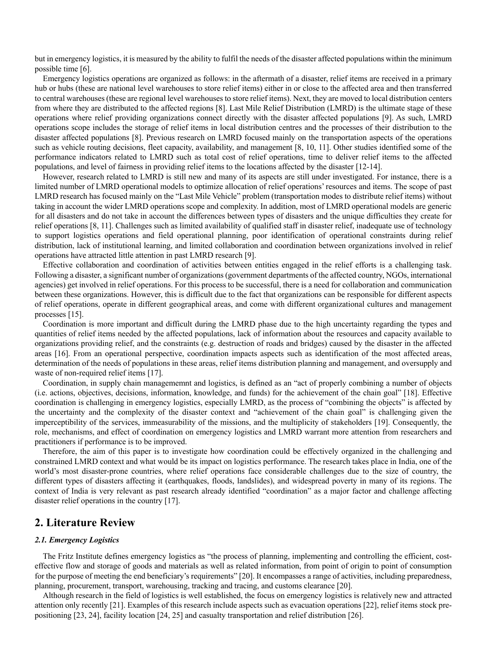but in emergency logistics, it is measured by the ability to fulfil the needs of the disaster affected populations within the minimum possible time [6].

Emergency logistics operations are organized as follows: in the aftermath of a disaster, relief items are received in a primary hub or hubs (these are national level warehouses to store relief items) either in or close to the affected area and then transferred to central warehouses (these are regional level warehouses to store relief items). Next, they are moved to local distribution centers from where they are distributed to the affected regions [8]. Last Mile Relief Distribution (LMRD) is the ultimate stage of these operations where relief providing organizations connect directly with the disaster affected populations [9]. As such, LMRD operations scope includes the storage of relief items in local distribution centres and the processes of their distribution to the disaster affected populations [8]. Previous research on LMRD focused mainly on the transportation aspects of the operations such as vehicle routing decisions, fleet capacity, availability, and management [8, 10, 11]. Other studies identified some of the performance indicators related to LMRD such as total cost of relief operations, time to deliver relief items to the affected populations, and level of fairness in providing relief items to the locations affected by the disaster [12-14].

However, research related to LMRD is still new and many of its aspects are still under investigated. For instance, there is a limited number of LMRD operational models to optimize allocation of relief operations' resources and items. The scope of past LMRD research has focused mainly on the "Last Mile Vehicle" problem (transportation modes to distribute relief items) without taking in account the wider LMRD operations scope and complexity. In addition, most of LMRD operational models are generic for all disasters and do not take in account the differences between types of disasters and the unique difficulties they create for relief operations [8, 11]. Challenges such as limited availability of qualified staff in disaster relief, inadequate use of technology to support logistics operations and field operational planning, poor identification of operational constraints during relief distribution, lack of institutional learning, and limited collaboration and coordination between organizations involved in relief operations have attracted little attention in past LMRD research [9].

Effective collaboration and coordination of activities between entities engaged in the relief efforts is a challenging task. Following a disaster, a significant number of organizations(government departments of the affected country, NGOs, international agencies) get involved in relief operations. For this process to be successful, there is a need for collaboration and communication between these organizations. However, this is difficult due to the fact that organizations can be responsible for different aspects of relief operations, operate in different geographical areas, and come with different organizational cultures and management processes [15].

Coordination is more important and difficult during the LMRD phase due to the high uncertainty regarding the types and quantities of relief items needed by the affected populations, lack of information about the resources and capacity available to organizations providing relief, and the constraints (e.g. destruction of roads and bridges) caused by the disaster in the affected areas [16]. From an operational perspective, coordination impacts aspects such as identification of the most affected areas, determination of the needs of populations in these areas, relief items distribution planning and management, and oversupply and waste of non-required relief items [17].

Coordination, in supply chain managememnt and logistics, is defined as an "act of properly combining a number of objects (i.e. actions, objectives, decisions, information, knowledge, and funds) for the achievement of the chain goal" [18]. Effective coordination is challenging in emergency logistics, especially LMRD, as the process of "combining the objects" is affected by the uncertainty and the complexity of the disaster context and "achievement of the chain goal" is challenging given the imperceptibility of the services, immeasurability of the missions, and the multiplicity of stakeholders [19]. Consequently, the role, mechanisms, and effect of coordination on emergency logistics and LMRD warrant more attention from researchers and practitioners if performance is to be improved.

Therefore, the aim of this paper is to investigate how coordination could be effectively organized in the challenging and constrained LMRD context and what would be its impact on logistics performance. The research takes place in India, one of the world's most disaster-prone countries, where relief operations face considerable challenges due to the size of country, the different types of disasters affecting it (earthquakes, floods, landslides), and widespread poverty in many of its regions. The context of India is very relevant as past research already identified "coordination" as a major factor and challenge affecting disaster relief operations in the country [17].

### **2. Literature Review**

#### *2.1. Emergency Logistics*

The Fritz Institute defines emergency logistics as "the process of planning, implementing and controlling the efficient, costeffective flow and storage of goods and materials as well as related information, from point of origin to point of consumption for the purpose of meeting the end beneficiary's requirements" [20]. It encompasses a range of activities, including preparedness, planning, procurement, transport, warehousing, tracking and tracing, and customs clearance [20].

Although research in the field of logistics is well established, the focus on emergency logistics is relatively new and attracted attention only recently [21]. Examples of this research include aspects such as evacuation operations [22], relief items stock prepositioning [23, 24], facility location [24, 25] and casualty transportation and relief distribution [26].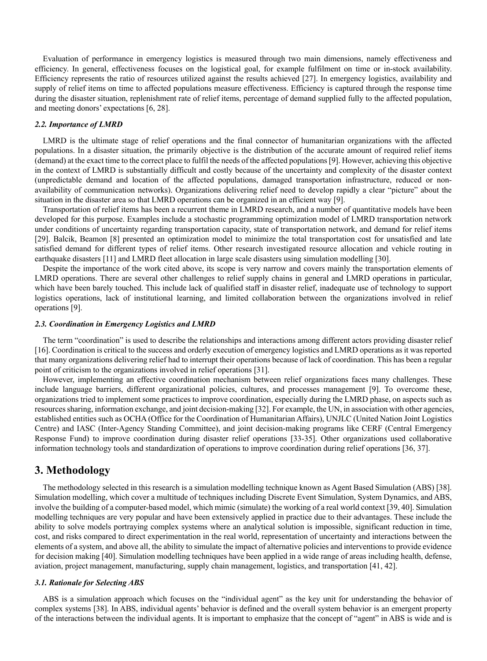Evaluation of performance in emergency logistics is measured through two main dimensions, namely effectiveness and efficiency. In general, effectiveness focuses on the logistical goal, for example fulfilment on time or in-stock availability. Efficiency represents the ratio of resources utilized against the results achieved [27]. In emergency logistics, availability and supply of relief items on time to affected populations measure effectiveness. Efficiency is captured through the response time during the disaster situation, replenishment rate of relief items, percentage of demand supplied fully to the affected population, and meeting donors' expectations [6, 28].

### *2.2. Importance of LMRD*

LMRD is the ultimate stage of relief operations and the final connector of humanitarian organizations with the affected populations. In a disaster situation, the primarily objective is the distribution of the accurate amount of required relief items (demand) at the exact time to the correct place to fulfil the needs of the affected populations[9]. However, achieving this objective in the context of LMRD is substantially difficult and costly because of the uncertainty and complexity of the disaster context (unpredictable demand and location of the affected populations, damaged transportation infrastructure, reduced or nonavailability of communication networks). Organizations delivering relief need to develop rapidly a clear "picture" about the situation in the disaster area so that LMRD operations can be organized in an efficient way [9].

Transportation of relief items has been a recurrent theme in LMRD research, and a number of quantitative models have been developed for this purpose. Examples include a stochastic programming optimization model of LMRD transportation network under conditions of uncertainty regarding transportation capacity, state of transportation network, and demand for relief items [29]. Balcik, Beamon [8] presented an optimization model to minimize the total transportation cost for unsatisfied and late satisfied demand for different types of relief items. Other research investigated resource allocation and vehicle routing in earthquake disasters [11] and LMRD fleet allocation in large scale disasters using simulation modelling [30].

Despite the importance of the work cited above, its scope is very narrow and covers mainly the transportation elements of LMRD operations. There are several other challenges to relief supply chains in general and LMRD operations in particular, which have been barely touched. This include lack of qualified staff in disaster relief, inadequate use of technology to support logistics operations, lack of institutional learning, and limited collaboration between the organizations involved in relief operations [9].

#### *2.3. Coordination in Emergency Logistics and LMRD*

The term "coordination" is used to describe the relationships and interactions among different actors providing disaster relief [16]. Coordination is critical to the success and orderly execution of emergency logistics and LMRD operations as it was reported that many organizations delivering relief had to interrupt their operations because of lack of coordination. This has been a regular point of criticism to the organizations involved in relief operations [31].

However, implementing an effective coordination mechanism between relief organizations faces many challenges. These include language barriers, different organizational policies, cultures, and processes management [9]. To overcome these, organizations tried to implement some practices to improve coordination, especially during the LMRD phase, on aspects such as resources sharing, information exchange, and joint decision-making [32]. For example, the UN, in association with other agencies, established entities such as OCHA (Office for the Coordination of Humanitarian Affairs), UNJLC (United Nation Joint Logistics Centre) and IASC (Inter-Agency Standing Committee), and joint decision-making programs like CERF (Central Emergency Response Fund) to improve coordination during disaster relief operations [33-35]. Other organizations used collaborative information technology tools and standardization of operations to improve coordination during relief operations [36, 37].

# **3. Methodology**

The methodology selected in this research is a simulation modelling technique known as Agent Based Simulation (ABS) [38]. Simulation modelling, which cover a multitude of techniques including Discrete Event Simulation, System Dynamics, and ABS, involve the building of a computer-based model, which mimic (simulate) the working of a real world context [39, 40]. Simulation modelling techniques are very popular and have been extensively applied in practice due to their advantages. These include the ability to solve models portraying complex systems where an analytical solution is impossible, significant reduction in time, cost, and risks compared to direct experimentation in the real world, representation of uncertainty and interactions between the elements of a system, and above all, the ability to simulate the impact of alternative policies and interventions to provide evidence for decision making [40]. Simulation modelling techniques have been applied in a wide range of areas including health, defense, aviation, project management, manufacturing, supply chain management, logistics, and transportation [41, 42].

#### *3.1. Rationale for Selecting ABS*

ABS is a simulation approach which focuses on the "individual agent" as the key unit for understanding the behavior of complex systems [38]. In ABS, individual agents' behavior is defined and the overall system behavior is an emergent property of the interactions between the individual agents. It is important to emphasize that the concept of "agent" in ABS is wide and is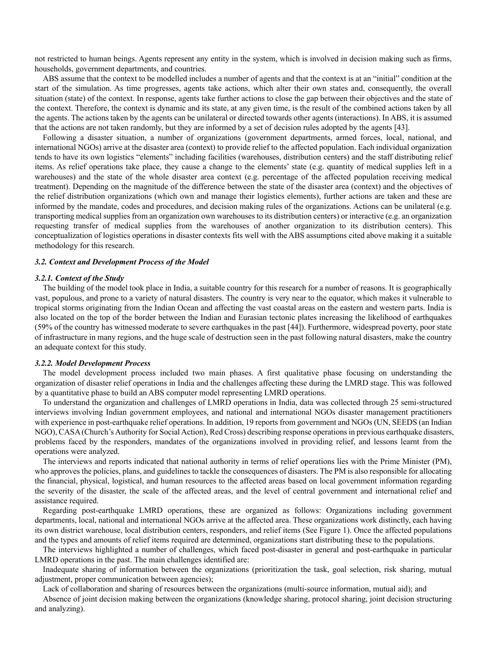not restricted to human beings. Agents represent any entity in the system, which is involved in decision making such as firms, households, government departments, and countries.

ABS assume that the context to be modelled includes a number of agents and that the context is at an "initial" condition at the start of the simulation. As time progresses, agents take actions, which alter their own states and, consequently, the overall situation (state) of the context. In response, agents take further actions to close the gap between their objectives and the state of the context. Therefore, the context is dynamic and its state, at any given time, is the result of the combined actions taken by all the agents. The actions taken by the agents can be unilateral or directed towards other agents (interactions). In ABS, it is assumed that the actions are not taken randomly, but they are informed by a set of decision rules adopted by the agents [43].

Following a disaster situation, a number of organizations (government departments, armed forces, local, national, and international NGOs) arrive at the disaster area (context) to provide relief to the affected population. Each individual organization tends to have its own logistics "elements" including facilities (warehouses, distribution centers) and the staff distributing relief items. As relief operations take place, they cause a change to the elements' state (e.g. quantity of medical supplies left in a warehouses) and the state of the whole disaster area context (e.g. percentage of the affected population receiving medical treatment). Depending on the magnitude of the difference between the state of the disaster area (context) and the objectives of the relief distribution organizations (which own and manage their logistics elements), further actions are taken and these are informed by the mandate, codes and procedures, and decision making rules of the organizations. Actions can be unilateral (e.g. transporting medical supplies from an organization own warehouses to its distribution centers) or interactive (e.g. an organization requesting transfer of medical supplies from the warehouses of another organization to its distribution centers). This conceptualization of logistics operations in disaster contexts fits well with the ABS assumptions cited above making it a suitable methodology for this research.

#### *3.2. Context and Development Process of the Model*

#### *3.2.1. Context of the Study*

The building of the model took place in India, a suitable country for this research for a number of reasons. It is geographically vast, populous, and prone to a variety of natural disasters. The country is very near to the equator, which makes it vulnerable to tropical storms originating from the Indian Ocean and affecting the vast coastal areas on the eastern and western parts. India is also located on the top of the border between the Indian and Eurasian tectonic plates increasing the likelihood of earthquakes (59% of the country has witnessed moderate to severe earthquakes in the past [44]). Furthermore, widespread poverty, poor state of infrastructure in many regions, and the huge scale of destruction seen in the past following natural disasters, make the country an adequate context for this study.

#### *3.2.2. Model Development Process*

The model development process included two main phases. A first qualitative phase focusing on understanding the organization of disaster relief operations in India and the challenges affecting these during the LMRD stage. This was followed by a quantitative phase to build an ABS computer model representing LMRD operations.

To understand the organization and challenges of LMRD operations in India, data was collected through 25 semi-structured interviews involving Indian government employees, and national and international NGOs disaster management practitioners with experience in post-earthquake relief operations. In addition, 19 reports from government and NGOs (UN, SEEDS (an Indian NGO), CASA (Church's Authority for Social Action), Red Cross) describing response operations in previous earthquake disasters, problems faced by the responders, mandates of the organizations involved in providing relief, and lessons learnt from the operations were analyzed.

The interviews and reports indicated that national authority in terms of relief operations lies with the Prime Minister (PM), who approves the policies, plans, and guidelines to tackle the consequences of disasters. The PM is also responsible for allocating the financial, physical, logistical, and human resources to the affected areas based on local government information regarding the severity of the disaster, the scale of the affected areas, and the level of central government and international relief and assistance required.

Regarding post-earthquake LMRD operations, these are organized as follows: Organizations including government departments, local, national and international NGOs arrive at the affected area. These organizations work distinctly, each having its own district warehouse, local distribution centers, responders, and relief items (See Figure 1). Once the affected populations and the types and amounts of relief items required are determined, organizations start distributing these to the populations.

The interviews highlighted a number of challenges, which faced post-disaster in general and post-earthquake in particular LMRD operations in the past. The main challenges identified are:

Inadequate sharing of information between the organizations (prioritization the task, goal selection, risk sharing, mutual adjustment, proper communication between agencies);

Lack of collaboration and sharing of resources between the organizations (multi-source information, mutual aid); and

Absence of joint decision making between the organizations (knowledge sharing, protocol sharing, joint decision structuring and analyzing).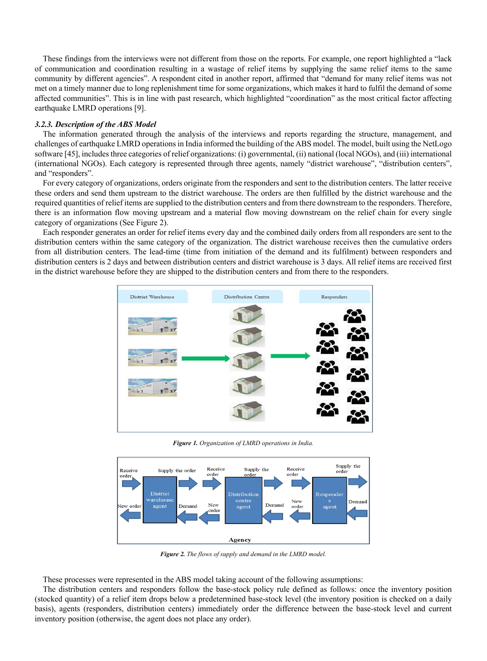These findings from the interviews were not different from those on the reports. For example, one report highlighted a "lack of communication and coordination resulting in a wastage of relief items by supplying the same relief items to the same community by different agencies". A respondent cited in another report, affirmed that "demand for many relief items was not met on a timely manner due to long replenishment time for some organizations, which makes it hard to fulfil the demand of some affected communities". This is in line with past research, which highlighted "coordination" as the most critical factor affecting earthquake LMRD operations [9].

#### *3.2.3. Description of the ABS Model*

The information generated through the analysis of the interviews and reports regarding the structure, management, and challenges of earthquake LMRD operations in India informed the building of the ABS model. The model, built using the NetLogo software [45], includes three categories of relief organizations: (i) governmental, (ii) national (local NGOs), and (iii) international (international NGOs). Each category is represented through three agents, namely "district warehouse", "distribution centers", and "responders".

For every category of organizations, orders originate from the responders and sent to the distribution centers. The latter receive these orders and send them upstream to the district warehouse. The orders are then fulfilled by the district warehouse and the required quantities of relief items are supplied to the distribution centers and from there downstream to the responders. Therefore, there is an information flow moving upstream and a material flow moving downstream on the relief chain for every single category of organizations (See Figure 2).

Each responder generates an order for relief items every day and the combined daily orders from all responders are sent to the distribution centers within the same category of the organization. The district warehouse receives then the cumulative orders from all distribution centers. The lead-time (time from initiation of the demand and its fulfilment) between responders and distribution centers is 2 days and between distribution centers and district warehouse is 3 days. All relief items are received first in the district warehouse before they are shipped to the distribution centers and from there to the responders.



*Figure 1. Organization of LMRD operations in India.*



*Figure 2. The flows of supply and demand in the LMRD model.*

These processes were represented in the ABS model taking account of the following assumptions:

The distribution centers and responders follow the base-stock policy rule defined as follows: once the inventory position (stocked quantity) of a relief item drops below a predetermined base-stock level (the inventory position is checked on a daily basis), agents (responders, distribution centers) immediately order the difference between the base-stock level and current inventory position (otherwise, the agent does not place any order).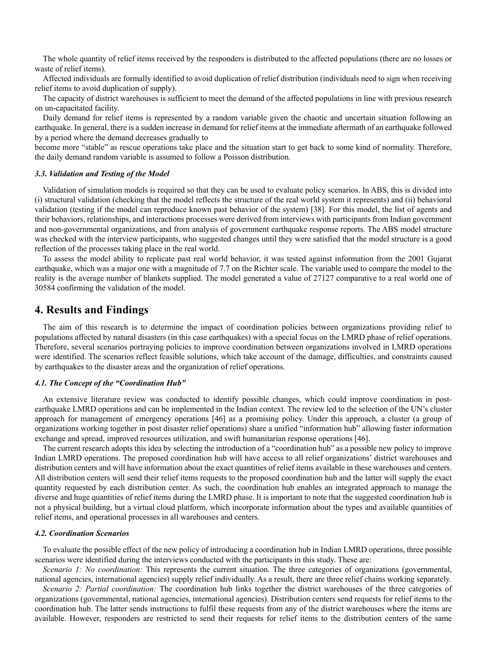The whole quantity of relief items received by the responders is distributed to the affected populations (there are no losses or waste of relief items).

Affected individuals are formally identified to avoid duplication of relief distribution (individuals need to sign when receiving relief items to avoid duplication of supply).

The capacity of district warehouses is sufficient to meet the demand of the affected populations in line with previous research on un-capacitated facility.

Daily demand for relief items is represented by a random variable given the chaotic and uncertain situation following an earthquake. In general, there is a sudden increase in demand for relief items at the immediate aftermath of an earthquake followed by a period where the demand decreases gradually to

become more "stable" as rescue operations take place and the situation start to get back to some kind of normality. Therefore, the daily demand random variable is assumed to follow a Poisson distribution.

#### *3.3. Validation and Testing of the Model*

Validation of simulation models is required so that they can be used to evaluate policy scenarios. In ABS, this is divided into (i) structural validation (checking that the model reflects the structure of the real world system it represents) and (ii) behavioral validation (testing if the model can reproduce known past behavior of the system) [38]. For this model, the list of agents and their behaviors, relationships, and interactions processes were derived from interviews with participants from Indian government and non-governmental organizations, and from analysis of government earthquake response reports. The ABS model structure was checked with the interview participants, who suggested changes until they were satisfied that the model structure is a good reflection of the processes taking place in the real world.

To assess the model ability to replicate past real world behavior, it was tested against information from the 2001 Gujarat earthquake, which was a major one with a magnitude of 7.7 on the Richter scale. The variable used to compare the model to the reality is the average number of blankets supplied. The model generated a value of 27127 comparative to a real world one of 30584 confirming the validation of the model.

## **4. Results and Findings**

The aim of this research is to determine the impact of coordination policies between organizations providing relief to populations affected by natural disasters (in this case earthquakes) with a special focus on the LMRD phase of relief operations. Therefore, several scenarios portraying policies to improve coordination between organizations involved in LMRD operations were identified. The scenarios reflect feasible solutions, which take account of the damage, difficulties, and constraints caused by earthquakes to the disaster areas and the organization of relief operations.

#### *4.1. The Concept of the "Coordination Hub"*

An extensive literature review was conducted to identify possible changes, which could improve coordination in postearthquake LMRD operations and can be implemented in the Indian context. The review led to the selection of the UN's cluster approach for management of emergency operations [46] as a promising policy. Under this approach, a cluster (a group of organizations working together in post disaster relief operations) share a unified "information hub" allowing faster information exchange and spread, improved resources utilization, and swift humanitarian response operations [46].

The current research adopts this idea by selecting the introduction of a "coordination hub" as a possible new policy to improve Indian LMRD operations. The proposed coordination hub will have access to all relief organizations' district warehouses and distribution centers and will have information about the exact quantities of relief items available in these warehouses and centers. All distribution centers will send their relief items requests to the proposed coordination hub and the latter will supply the exact quantity requested by each distribution center. As such, the coordination hub enables an integrated approach to manage the diverse and huge quantities of relief items during the LMRD phase. It is important to note that the suggested coordination hub is not a physical building, but a virtual cloud platform, which incorporate information about the types and available quantities of relief items, and operational processes in all warehouses and centers.

#### *4.2. Coordination Scenarios*

To evaluate the possible effect of the new policy of introducing a coordination hub in Indian LMRD operations, three possible scenarios were identified during the interviews conducted with the participants in this study. These are:

*Scenario 1: No coordination:* This represents the current situation. The three categories of organizations (governmental, national agencies, international agencies) supply relief individually. As a result, there are three relief chains working separately.

*Scenario 2: Partial coordination:* The coordination hub links together the district warehouses of the three categories of organizations (governmental, national agencies, international agencies). Distribution centers send requests for relief items to the coordination hub. The latter sends instructions to fulfil these requests from any of the district warehouses where the items are available. However, responders are restricted to send their requests for relief items to the distribution centers of the same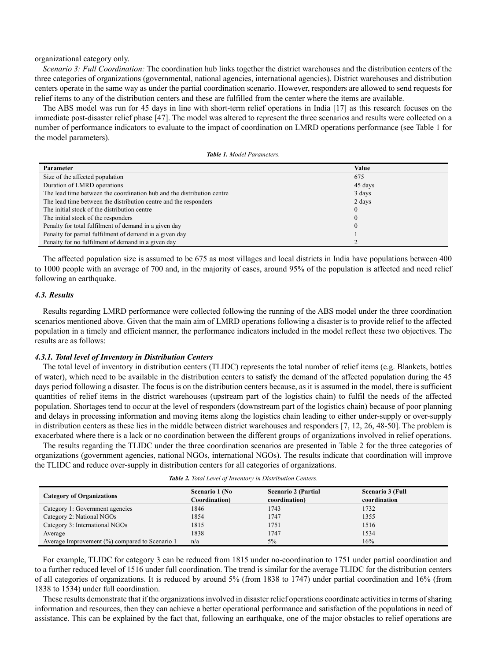organizational category only.

*Scenario 3: Full Coordination:* The coordination hub links together the district warehouses and the distribution centers of the three categories of organizations (governmental, national agencies, international agencies). District warehouses and distribution centers operate in the same way as under the partial coordination scenario. However, responders are allowed to send requests for relief items to any of the distribution centers and these are fulfilled from the center where the items are available.

The ABS model was run for 45 days in line with short-term relief operations in India [17] as this research focuses on the immediate post-disaster relief phase [47]. The model was altered to represent the three scenarios and results were collected on a number of performance indicators to evaluate to the impact of coordination on LMRD operations performance (see Table 1 for the model parameters).

| Parameter                                                              | Value    |
|------------------------------------------------------------------------|----------|
| Size of the affected population                                        | 675      |
| Duration of LMRD operations                                            | 45 days  |
| The lead time between the coordination hub and the distribution centre | 3 days   |
| The lead time between the distribution centre and the responders       | 2 days   |
| The initial stock of the distribution centre                           | $\Omega$ |
| The initial stock of the responders                                    | $\Omega$ |
| Penalty for total fulfilment of demand in a given day                  | $\Omega$ |
| Penalty for partial fulfilment of demand in a given day                |          |
| Penalty for no fulfilment of demand in a given day                     |          |

The affected population size is assumed to be 675 as most villages and local districts in India have populations between 400 to 1000 people with an average of 700 and, in the majority of cases, around 95% of the population is affected and need relief following an earthquake.

#### *4.3. Results*

Results regarding LMRD performance were collected following the running of the ABS model under the three coordination scenarios mentioned above. Given that the main aim of LMRD operations following a disaster is to provide relief to the affected population in a timely and efficient manner, the performance indicators included in the model reflect these two objectives. The results are as follows:

#### *4.3.1. Total level of Inventory in Distribution Centers*

The total level of inventory in distribution centers (TLIDC) represents the total number of relief items (e.g. Blankets, bottles of water), which need to be available in the distribution centers to satisfy the demand of the affected population during the 45 days period following a disaster. The focus is on the distribution centers because, as it is assumed in the model, there is sufficient quantities of relief items in the district warehouses (upstream part of the logistics chain) to fulfil the needs of the affected population. Shortages tend to occur at the level of responders (downstream part of the logistics chain) because of poor planning and delays in processing information and moving items along the logistics chain leading to either under-supply or over-supply in distribution centers as these lies in the middle between district warehouses and responders [7, 12, 26, 48-50]. The problem is exacerbated where there is a lack or no coordination between the different groups of organizations involved in relief operations.

The results regarding the TLIDC under the three coordination scenarios are presented in Table 2 for the three categories of organizations (government agencies, national NGOs, international NGOs). The results indicate that coordination will improve the TLIDC and reduce over-supply in distribution centers for all categories of organizations.

| Table 2. Total Level of Inventory in Distribution Centers. |  |  |  |
|------------------------------------------------------------|--|--|--|
|------------------------------------------------------------|--|--|--|

| <b>Category of Organizations</b>               | Scenario 1 (No<br>Coordination) | <b>Scenario 2 (Partial</b><br>coordination) | <b>Scenario 3 (Full</b><br>coordination |
|------------------------------------------------|---------------------------------|---------------------------------------------|-----------------------------------------|
| Category 1: Government agencies                | 1846                            | 1743                                        | 1732                                    |
| Category 2: National NGOs                      | 1854                            | 1747                                        | 1355                                    |
| Category 3: International NGOs                 | 1815                            | 1751                                        | 1516                                    |
| Average                                        | 1838                            | 1747                                        | 1534                                    |
| Average Improvement (%) compared to Scenario 1 | n/a                             | 5%                                          | 16%                                     |

For example, TLIDC for category 3 can be reduced from 1815 under no-coordination to 1751 under partial coordination and to a further reduced level of 1516 under full coordination. The trend is similar for the average TLIDC for the distribution centers of all categories of organizations. It is reduced by around 5% (from 1838 to 1747) under partial coordination and 16% (from 1838 to 1534) under full coordination.

These results demonstrate that if the organizations involved in disaster relief operations coordinate activities in terms of sharing information and resources, then they can achieve a better operational performance and satisfaction of the populations in need of assistance. This can be explained by the fact that, following an earthquake, one of the major obstacles to relief operations are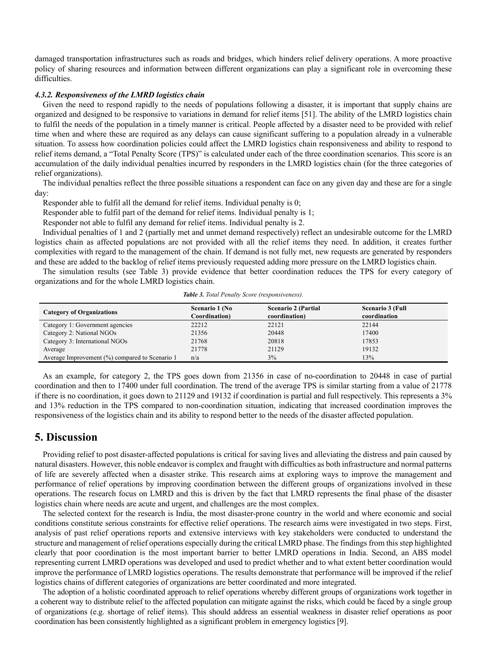damaged transportation infrastructures such as roads and bridges, which hinders relief delivery operations. A more proactive policy of sharing resources and information between different organizations can play a significant role in overcoming these difficulties.

#### *4.3.2. Responsiveness of the LMRD logistics chain*

Given the need to respond rapidly to the needs of populations following a disaster, it is important that supply chains are organized and designed to be responsive to variations in demand for relief items [51]. The ability of the LMRD logistics chain to fulfil the needs of the population in a timely manner is critical. People affected by a disaster need to be provided with relief time when and where these are required as any delays can cause significant suffering to a population already in a vulnerable situation. To assess how coordination policies could affect the LMRD logistics chain responsiveness and ability to respond to relief items demand, a "Total Penalty Score (TPS)" is calculated under each of the three coordination scenarios. This score is an accumulation of the daily individual penalties incurred by responders in the LMRD logistics chain (for the three categories of relief organizations).

The individual penalties reflect the three possible situations a respondent can face on any given day and these are for a single day:

Responder able to fulfil all the demand for relief items. Individual penalty is 0;

Responder able to fulfil part of the demand for relief items. Individual penalty is 1;

Responder not able to fulfil any demand for relief items. Individual penalty is 2.

Individual penalties of 1 and 2 (partially met and unmet demand respectively) reflect an undesirable outcome for the LMRD logistics chain as affected populations are not provided with all the relief items they need. In addition, it creates further complexities with regard to the management of the chain. If demand is not fully met, new requests are generated by responders and these are added to the backlog of relief items previously requested adding more pressure on the LMRD logistics chain.

The simulation results (see Table 3) provide evidence that better coordination reduces the TPS for every category of organizations and for the whole LMRD logistics chain.

| <b>Category of Organizations</b>               | Scenario 1 (No<br>Coordination) | <b>Scenario 2 (Partial</b><br>coordination) | <b>Scenario 3 (Full</b><br>coordination |
|------------------------------------------------|---------------------------------|---------------------------------------------|-----------------------------------------|
| Category 1: Government agencies                | 22212                           | 22121                                       | 22144                                   |
| Category 2: National NGOs                      | 21356                           | 20448                                       | 17400                                   |
| Category 3: International NGOs                 | 21768                           | 20818                                       | 17853                                   |
| Average                                        | 21778                           | 21129                                       | 19132                                   |
| Average Improvement (%) compared to Scenario 1 | n/a                             | 3%                                          | 13%                                     |

*Table 3. Total Penalty Score (responsiveness).*

As an example, for category 2, the TPS goes down from 21356 in case of no-coordination to 20448 in case of partial coordination and then to 17400 under full coordination. The trend of the average TPS is similar starting from a value of 21778 if there is no coordination, it goes down to 21129 and 19132 if coordination is partial and full respectively. This represents a 3% and 13% reduction in the TPS compared to non-coordination situation, indicating that increased coordination improves the responsiveness of the logistics chain and its ability to respond better to the needs of the disaster affected population.

# **5. Discussion**

Providing relief to post disaster-affected populations is critical for saving lives and alleviating the distress and pain caused by natural disasters. However, this noble endeavor is complex and fraught with difficulties as both infrastructure and normal patterns of life are severely affected when a disaster strike. This research aims at exploring ways to improve the management and performance of relief operations by improving coordination between the different groups of organizations involved in these operations. The research focus on LMRD and this is driven by the fact that LMRD represents the final phase of the disaster logistics chain where needs are acute and urgent, and challenges are the most complex.

The selected context for the research is India, the most disaster-prone country in the world and where economic and social conditions constitute serious constraints for effective relief operations. The research aims were investigated in two steps. First, analysis of past relief operations reports and extensive interviews with key stakeholders were conducted to understand the structure and management of relief operations especially during the critical LMRD phase. The findings from this step highlighted clearly that poor coordination is the most important barrier to better LMRD operations in India. Second, an ABS model representing current LMRD operations was developed and used to predict whether and to what extent better coordination would improve the performance of LMRD logistics operations. The results demonstrate that performance will be improved if the relief logistics chains of different categories of organizations are better coordinated and more integrated.

The adoption of a holistic coordinated approach to relief operations whereby different groups of organizations work together in a coherent way to distribute relief to the affected population can mitigate against the risks, which could be faced by a single group of organizations (e.g. shortage of relief items). This should address an essential weakness in disaster relief operations as poor coordination has been consistently highlighted as a significant problem in emergency logistics [9].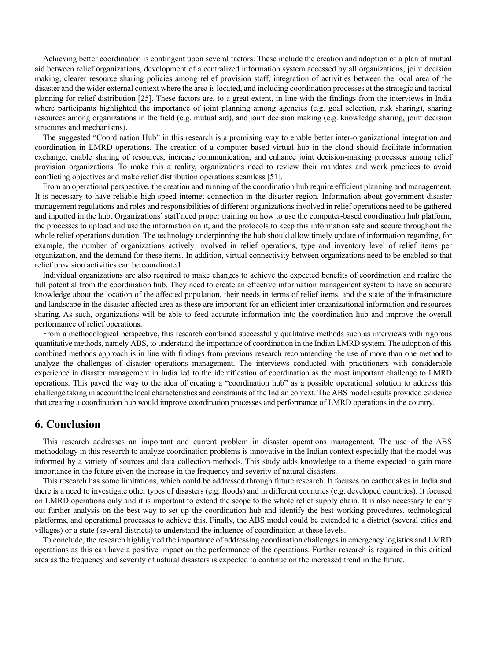Achieving better coordination is contingent upon several factors. These include the creation and adoption of a plan of mutual aid between relief organizations, development of a centralized information system accessed by all organizations, joint decision making, clearer resource sharing policies among relief provision staff, integration of activities between the local area of the disaster and the wider external context where the area is located, and including coordination processes at the strategic and tactical planning for relief distribution [25]. These factors are, to a great extent, in line with the findings from the interviews in India where participants highlighted the importance of joint planning among agencies (e.g. goal selection, risk sharing), sharing resources among organizations in the field (e.g. mutual aid), and joint decision making (e.g. knowledge sharing, joint decision structures and mechanisms).

The suggested "Coordination Hub" in this research is a promising way to enable better inter-organizational integration and coordination in LMRD operations. The creation of a computer based virtual hub in the cloud should facilitate information exchange, enable sharing of resources, increase communication, and enhance joint decision-making processes among relief provision organizations. To make this a reality, organizations need to review their mandates and work practices to avoid conflicting objectives and make relief distribution operations seamless [51].

From an operational perspective, the creation and running of the coordination hub require efficient planning and management. It is necessary to have reliable high-speed internet connection in the disaster region. Information about government disaster management regulations and roles and responsibilities of different organizations involved in relief operations need to be gathered and inputted in the hub. Organizations'staff need proper training on how to use the computer-based coordination hub platform, the processes to upload and use the information on it, and the protocols to keep this information safe and secure throughout the whole relief operations duration. The technology underpinning the hub should allow timely update of information regarding, for example, the number of organizations actively involved in relief operations, type and inventory level of relief items per organization, and the demand for these items. In addition, virtual connectivity between organizations need to be enabled so that relief provision activities can be coordinated.

Individual organizations are also required to make changes to achieve the expected benefits of coordination and realize the full potential from the coordination hub. They need to create an effective information management system to have an accurate knowledge about the location of the affected population, their needs in terms of relief items, and the state of the infrastructure and landscape in the disaster-affected area as these are important for an efficient inter-organizational information and resources sharing. As such, organizations will be able to feed accurate information into the coordination hub and improve the overall performance of relief operations.

From a methodological perspective, this research combined successfully qualitative methods such as interviews with rigorous quantitative methods, namely ABS, to understand the importance of coordination in the Indian LMRD system. The adoption of this combined methods approach is in line with findings from previous research recommending the use of more than one method to analyze the challenges of disaster operations management. The interviews conducted with practitioners with considerable experience in disaster management in India led to the identification of coordination as the most important challenge to LMRD operations. This paved the way to the idea of creating a "coordination hub" as a possible operational solution to address this challenge taking in account the local characteristics and constraints of the Indian context. The ABS model results provided evidence that creating a coordination hub would improve coordination processes and performance of LMRD operations in the country.

### **6. Conclusion**

This research addresses an important and current problem in disaster operations management. The use of the ABS methodology in this research to analyze coordination problems is innovative in the Indian context especially that the model was informed by a variety of sources and data collection methods. This study adds knowledge to a theme expected to gain more importance in the future given the increase in the frequency and severity of natural disasters.

This research has some limitations, which could be addressed through future research. It focuses on earthquakes in India and there is a need to investigate other types of disasters (e.g. floods) and in different countries (e.g. developed countries). It focused on LMRD operations only and it is important to extend the scope to the whole relief supply chain. It is also necessary to carry out further analysis on the best way to set up the coordination hub and identify the best working procedures, technological platforms, and operational processes to achieve this. Finally, the ABS model could be extended to a district (several cities and villages) or a state (several districts) to understand the influence of coordination at these levels.

To conclude, the research highlighted the importance of addressing coordination challenges in emergency logistics and LMRD operations as this can have a positive impact on the performance of the operations. Further research is required in this critical area as the frequency and severity of natural disasters is expected to continue on the increased trend in the future.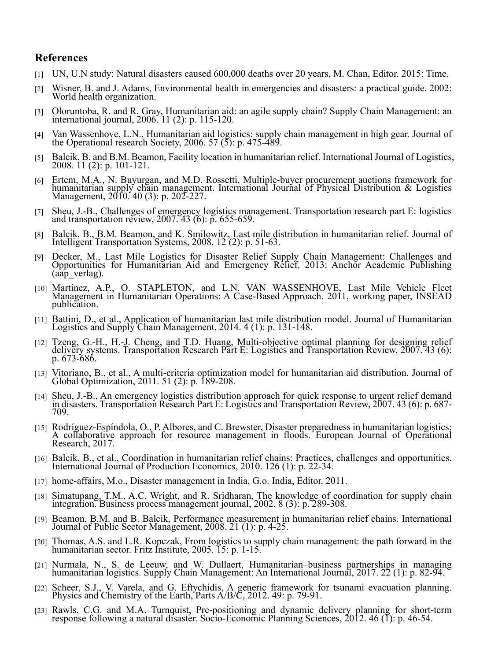# **References**

- [1] UN, U.N study: Natural disasters caused 600,000 deaths over 20 years, M. Chan, Editor. 2015: Time.
- [2] Wisner, B. and J. Adams, Environmental health in emergencies and disasters: a practical guide. 2002: World health organization.
- [3] Oloruntoba, R. and R. Gray, Humanitarian aid: an agile supply chain? Supply Chain Management: an international journal, 2006. 11 (2): p. 115-120.
- [4] Van Wassenhove, L.N., Humanitarian aid logistics: supply chain management in high gear. Journal of the Operational research Society, 2006. 57 (5): p. 475-489.
- [5] Balcik, B. and B.M. Beamon, Facility location in humanitarian relief. International Journal of Logistics, 2008. 11 (2): p. 101-121.
- [6] Ertem, M.A., N. Buyurgan, and M.D. Rossetti, Multiple-buyer procurement auctions framework for humanitarian supply chain management. International Journal of Physical Distribution & Logistics Management, 2010. 40 (3):
- [7] Sheu, J.-B., Challenges of emergency logistics management. Transportation research part E: logistics and transportation review, 2007. 43 (6): p. 655-659.
- [8] Balcik, B., B.M. Beamon, and K. Smilowitz, Last mile distribution in humanitarian relief. Journal of Intelligent Transportation Systems, 2008. 12 (2): p. 51-63.
- [9] Decker, M., Last Mile Logistics for Disaster Relief Supply Chain Management: Challenges and Opportunities for Humanitarian Aid and Emergency Relief. 2013: Anchor Academic Publishing (aap\_verlag).
- [10] Martinez, A.P., O. STAPLETON, and L.N. VAN WASSENHOVE, Last Mile Vehicle Fleet Management in Humanitarian Operations: A Case-Based Approach. 2011, working paper, INSEAD publication.
- [11] Battini, D., et al., Application of humanitarian last mile distribution model. Journal of Humanitarian Logistics and Supply Chain Management, 2014. 4 (1): p. 131-148.
- [12] Tzeng, G.-H., H.-J. Cheng, and T.D. Huang, Multi-objective optimal planning for designing relief delivery systems. Transportation Research Part E: Logistics and Transportation Review, 2007. 43 (6):<br>p. 673-686.
- [13] Vitoriano, B., et al., A multi-criteria optimization model for humanitarian aid distribution. Journal of Global Optimization, 2011. 51 (2): p. 189-208.
- [14] Sheu, J.-B., An emergency logistics distribution approach for quick response to urgent relief demand in disasters. Transportation Research Part E: Logistics and Transportation Review, 2007. 43 (6): p. 687- 709.
- [15] Rodríguez-Espíndola, O., P. Albores, and C. Brewster, Disaster preparedness in humanitarian logistics: A collaborative approach for resource management in floods. European Journal of Operational Research, 2017.
- [16] Balcik, B., et al., Coordination in humanitarian relief chains: Practices, challenges and opportunities. International Journal of Production Economics, 2010. 126 (1): p. 22-34.
- [17] home-affairs, M.o., Disaster management in India, G.o. India, Editor. 2011.
- [18] Simatupang, T.M., A.C. Wright, and R. Sridharan, The knowledge of coordination for supply chain integration. Business process management journal, 2002. 8 (3): p. 289-308.
- [19] Beamon, B.M. and B. Balcik, Performance measurement in humanitarian relief chains. International Journal of Public Sector Management, 2008. 21 (1): p. 4-25.
- [20] Thomas, A.S. and L.R. Kopczak, From logistics to supply chain management: the path forward in the humanitarian sector. Fritz Institute, 2005. 15: p. 1-15.
- [21] Nurmala, N., S. de Leeuw, and W. Dullaert, Humanitarian–business partnerships in managing humanitarian logistics. Supply Chain Management: An International Journal, 2017. 22 (1): p. 82-94.
- [22] Scheer, S.J., V. Varela, and G. Eftychidis, A generic framework for tsunami evacuation planning. Physics and Chemistry of the Earth, Parts A/B/C, 2012. 49: p. 79-91.
- [23] Rawls, C.G. and M.A. Turnquist, Pre-positioning and dynamic delivery planning for short-term response following a natural disaster. Socio-Economic Planning Sciences, 2012. 46 (1): p. 46-54.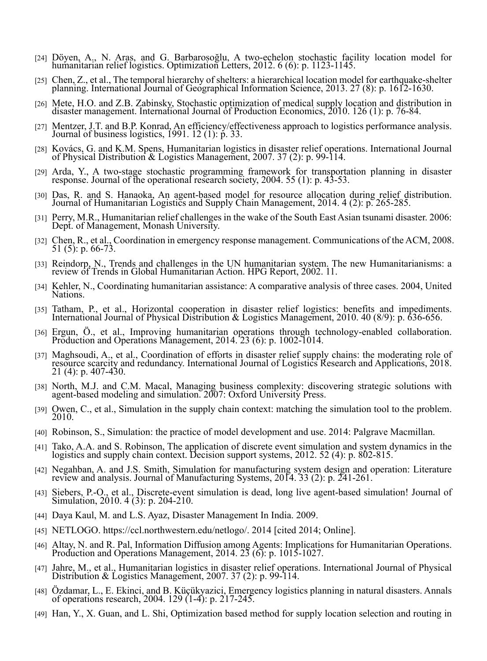- [24] Döyen, A., N. Aras, and G. Barbarosoğlu, A two-echelon stochastic facility location model for humanitarian relief logistics. Optimization Letters, 2012. 6 (6): p. 1123-1145.
- [25] Chen, Z., et al., The temporal hierarchy of shelters: a hierarchical location model for earthquake-shelter planning. International Journal of Geographical Information Science, 2013. 27 (8): p. 1612-1630.
- [26] Mete, H.O. and Z.B. Zabinsky, Stochastic optimization of medical supply location and distribution in disaster management. International Journal of Production Economics, 2010. 126 (1): p. 76-84.
- [27] Mentzer, J.T. and B.P. Konrad, An efficiency/effectiveness approach to logistics performance analysis. Journal of business logistics, 1991. 12 (1): p. 33.
- [28] Kovács, G. and K.M. Spens, Humanitarian logistics in disaster relief operations. International Journal of Physical Distribution & Logistics Management, 2007. 37 (2): p. 99-114.
- [29] Arda, Y., A two-stage stochastic programming framework for transportation planning in disaster response. Journal of the operational research society, 2004. 55 (1): p. 43-53.
- [30] Das, R. and S. Hanaoka, An agent-based model for resource allocation during relief distribution. Journal of Humanitarian Logistics and Supply Chain Management, 2014. 4 (2): p. 265-285.
- [31] Perry, M.R., Humanitarian relief challenges in the wake of the South East Asian tsunami disaster. 2006: Dept. of Management, Monash University.
- [32] Chen, R., et al., Coordination in emergency response management. Communications of the ACM, 2008. 51 (5): p. 66-73.
- [33] Reindorp, N., Trends and challenges in the UN humanitarian system. The new Humanitarianisms: a review of Trends in Global Humanitarian Action. HPG Report, 2002. 11.
- [34] Kehler, N., Coordinating humanitarian assistance: A comparative analysis of three cases. 2004, United Nations.
- [35] Tatham, P., et al., Horizontal cooperation in disaster relief logistics: benefits and impediments. International Journal of Physical Distribution & Logistics Management, 2010. 40 (8/9): p. 636-656.
- [36] Ergun, Ö., et al., Improving humanitarian operations through technology-enabled collaboration. Production and Operations Management, 2014. 23 (6): p. 1002-1014.
- [37] Maghsoudi, A., et al., Coordination of efforts in disaster relief supply chains: the moderating role of resource scarcity and redundancy. International Journal of Logistics Research and Applications, 2018. 21 (4): p. 407-430.
- [38] North, M.J. and C.M. Macal, Managing business complexity: discovering strategic solutions with agent-based modeling and simulation. 2007: Oxford University Press.
- [39] Owen, C., et al., Simulation in the supply chain context: matching the simulation tool to the problem. 2010.
- [40] Robinson, S., Simulation: the practice of model development and use. 2014: Palgrave Macmillan.
- [41] Tako, A.A. and S. Robinson, The application of discrete event simulation and system dynamics in the logistics and supply chain context. Decision support systems, 2012. 52 (4): p. 802-815.
- [42] Negahban, A. and J.S. Smith, Simulation for manufacturing system design and operation: Literature review and analysis. Journal of Manufacturing Systems, 2014. 33 (2): p. 241-261.
- [43] Siebers, P.-O., et al., Discrete-event simulation is dead, long live agent-based simulation! Journal of Simulation, 2010. 4 (3): p. 204-210.
- [44] Daya Kaul, M. and L.S. Ayaz, Disaster Management In India. 2009.
- [45] NETLOGO. https://ccl.northwestern.edu/netlogo/. 2014 [cited 2014; Online].
- [46] Altay, N. and R. Pal, Information Diffusion among Agents: Implications for Humanitarian Operations. Production and Operations Management, 2014. 23 (6): p. 1015-1027.
- [47] Jahre, M., et al., Humanitarian logistics in disaster relief operations. International Journal of Physical Distribution & Logistics Management, 2007. 37 (2): p. 99-114.
- [48] Özdamar, L., E. Ekinci, and B. Küçükyazici, Emergency logistics planning in natural disasters. Annals of operations research, 2004. 129 (1-4): p. 217-245.
- [49] Han, Y., X. Guan, and L. Shi, Optimization based method for supply location selection and routing in